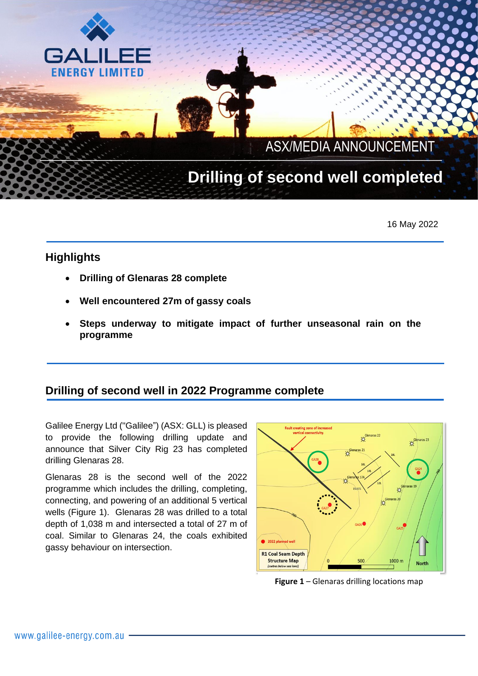## ASX/MEDIA ANNOUNCEMENT ASAINEDIA ANNOUNCEMENT

 $\mathcal{L} \neq \mathcal{L}$ 

# **Drilling of second well completed**

16 May 2022

# **Highlights**

GΔ

**FNFRGY LIMITED** 

- **Drilling of Glenaras 28 complete**
- **Well encountered 27m of gassy coals**
- **Steps underway to mitigate impact of further unseasonal rain on the programme**

# **Drilling of second well in 2022 Programme complete**

Galilee Energy Ltd ("Galilee") (ASX: GLL) is pleased to provide the following drilling update and announce that Silver City Rig 23 has completed drilling Glenaras 28.

Glenaras 28 is the second well of the 2022 programme which includes the drilling, completing, connecting, and powering of an additional 5 vertical wells (Figure 1). Glenaras 28 was drilled to a total depth of 1,038 m and intersected a total of 27 m of coal. Similar to Glenaras 24, the coals exhibited gassy behaviour on intersection.



**Figure 1** – Glenaras drilling locations map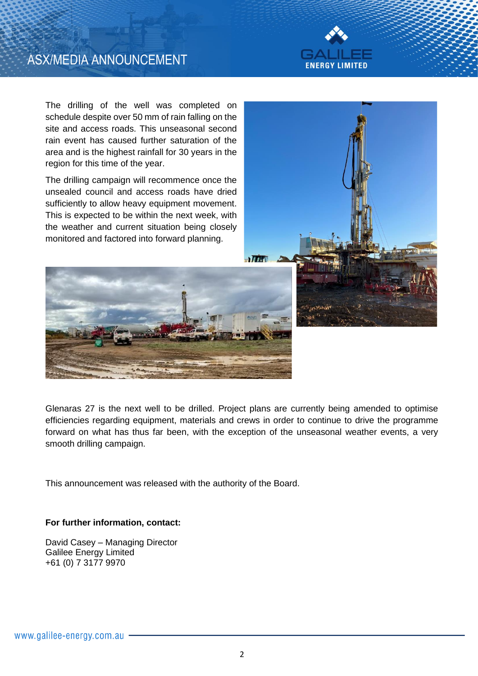



The drilling of the well was completed on schedule despite over 50 mm of rain falling on the site and access roads. This unseasonal second rain event has caused further saturation of the area and is the highest rainfall for 30 years in the region for this time of the year.

The drilling campaign will recommence once the unsealed council and access roads have dried sufficiently to allow heavy equipment movement. This is expected to be within the next week, with the weather and current situation being closely monitored and factored into forward planning.





Glenaras 27 is the next well to be drilled. Project plans are currently being amended to optimise efficiencies regarding equipment, materials and crews in order to continue to drive the programme forward on what has thus far been, with the exception of the unseasonal weather events, a very smooth drilling campaign.

This announcement was released with the authority of the Board.

#### **For further information, contact:**

David Casey – Managing Director Galilee Energy Limited +61 (0) 7 3177 9970